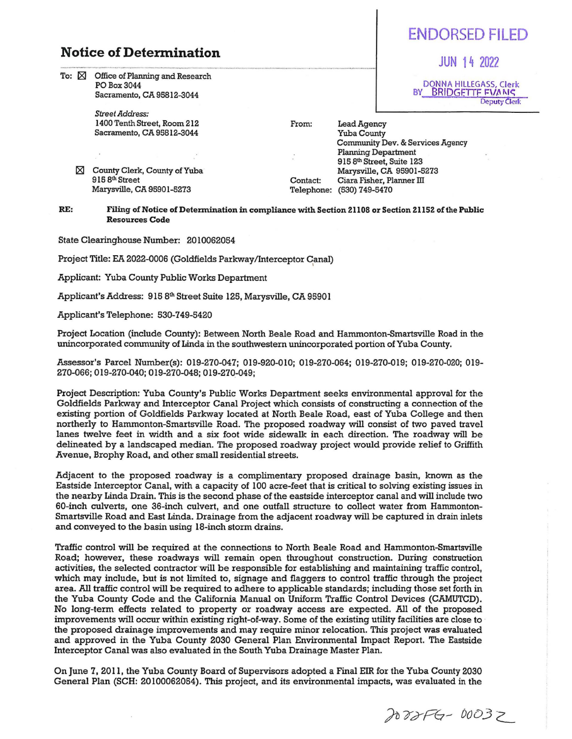## **Notice of Determination**

To:  $\boxtimes$  Office of Planning and Research POBox3044 Sacramento, CA 95812-3044

> *Street Address:*  1400 Tenth Street, Room 212 Sacramento, CA 95812-3044

 $\boxtimes$  County Clerk, County of Yuba 915 8<sup>th</sup> Street Marysville, CA 95901-5273

From:

Contact: Telephone: (530) 7 49-54 70 Lead Agency Yuba County Community Dev. & Services Agency Planning Department 915 8th Street, Suite 123 Marysville, CA 95901-5273 Ciara Fisher, Planner III

## RE: Filing of Notice of Detennination in compliance with Section 21108 or Section 21152 of the Public Resources Code

State Clearinghouse Number: 2010062054

Project Title: EA 2022-0006 (Goldfields Parkway/Interceptor Canal) <sup>I</sup>

Applicant: Yuba County Public Works Department

Applicant's Address: 915 8th Street Suite 125, Marysville, CA 95901

Applicant's Telephone: 530-749-5420

Project Location (include County): Between North Beale Road and Harnrnonton-Smartsville Road in the unincorporated community of Linda in the southwestern unincorporated portion of Yuba County.

Assessor's Parcel Nurnber(s): 019-270-047; 019-920-010; 019-270-064; 019-270-019; 019-270-020; 019- 270-066; 019-270-040; 019-270-048; 019-270-049;

Project Description: Yuba County's Public Works Department seeks environmental approval for the Goldfields Parkway and Interceptor Canal Project which consists of constructing a connection of the existing portion of Goldfields Parkway located at North Beale Road, east of Yuba College and then northerly to Hammonton-Smartsville Road. The proposed roadway will consist of two paved travel lanes twelve feet in width and a six foot wide sidewalk in each direction. The roadway will be delineated by a landscaped median. The proposed roadway project would provide relief to Griffith Avenue, Brophy Road, and other small residential streets.

Adjacent to the proposed roadway is a complimentary proposed drainage basin, known as the Eastside Interceptor Canal, with a capacity of 100 acre-feet that is critical to solving existing issues in the nearby Linda Drain. This is the second phase of the eastside interceptor canal and will include two SO-inch culverts, one 36-inch culvert, and one outfall structure to collect water from Harnmonton-Smartsville Road and East Linda. Drainage from the adjacent roadway will be captured in drain inlets and conveyed to the basin using 18-inch storm drains.

Traffic control will be required at the connections to North Beale Road and Hammonton-Smartsville Road; however, these roadways will remain open throughout construction. During construction activities, the selected contractor will be responsible for establishing and maintaining traffic control, which may include, but is not limited to, signage and flaggers to control traffic through the project area. All traffic control will be required to adhere to applicable standards; including those set forth in the Yuba County Code and the California Manual on Uniform Traffic Control Devices (CAMUTCD). No long-term effects related to property or roadway access are expected. All of the proposed improvements will occur within existing right-of-way. Some of the existing utility facilities are close to the proposed drainage improvements and may require minor relocation. This project was evaluated and approved in the Yuba County 2030 General Plan Environmental Impact Report. The Eastside Interceptor Canal was also evaluated in the South Yuba Drainage Master Plan.

On June 7, 2011, the Yuba County Board of Supervisors adopted a Final EIR for the Yuba County 2030 General Plan (SCH: 20100062054). This project, and its environmental impacts, was evaluated in the

2022FG-00032



JUN 14 2022

**DONNA HILLEGASS, Clerk**<br>BY **BRIDGETTE FVANS** BRIDGETTE FVANS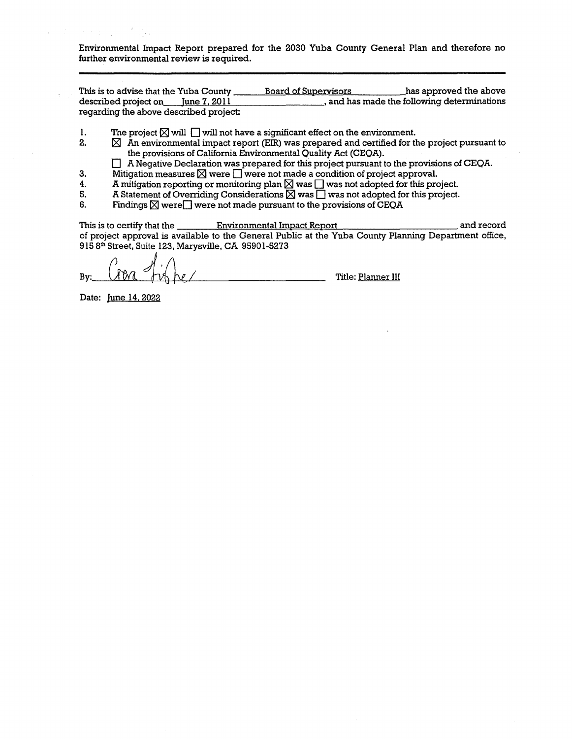Environmental Impact Report prepared for the 2030 Yuba County General Plan and therefore no further environmental review is required.

This is to advise that the Yuba County Board of Supervisors has approved the above described project on\_--+'Ju,..n""'e"-7""'.'-'2""0,\_,1~1 \_\_\_\_\_\_\_\_ , and has made the following determinations regarding the above described project:

- 1. The project  $\boxtimes$  will  $\Box$  will not have a significant effect on the environment.<br>2.  $\boxtimes$  An environmental impact report (EIR) was prepared and certified for the
	- $\boxtimes$  An environmental impact report (EIR) was prepared and certified for the project pursuant to the provisions of California Environmental Quality Act (CEQA).
		- $\Box$  A Negative Declaration was prepared for this project pursuant to the provisions of CEQA.
- 3. Mitigation measures  $\boxtimes$  were  $\square$  were not made a condition of project approval.<br>4. A mitigation reporting or monitoring plan  $\boxtimes$  was  $\square$  was not adopted for this pro
- 4. A mitigation reporting or monitoring plan  $\boxtimes$  was  $\Box$  was not adopted for this project.<br>5. A Statement of Overriding Considerations  $\boxtimes$  was  $\Box$  was not adopted for this project.
- 5. A Statement of Overriding Considerations  $\boxtimes$  was  $\Box$  was not adopted for this project.<br>6. Findings  $\boxtimes$  were  $\Box$  were not made pursuant to the provisions of CEOA
- Findings  $\boxtimes$  were  $\Box$  were not made pursuant to the provisions of CEQA

This is to certify that the **Environmental Impact Report Environmental Impact Report** and record of project approval is available to the General Public at the Yuba County Planning Department office, 915 Sth Street, Suite 123, Marysville, CA 95901-5273

 $By:$   $\mathcal{N} \setminus \mathcal{N} \setminus \mathcal{N}$   $\mathcal{N} \setminus \mathcal{N}$   $\mathcal{N} \setminus \mathcal{N}$ 

Date: June 14.2022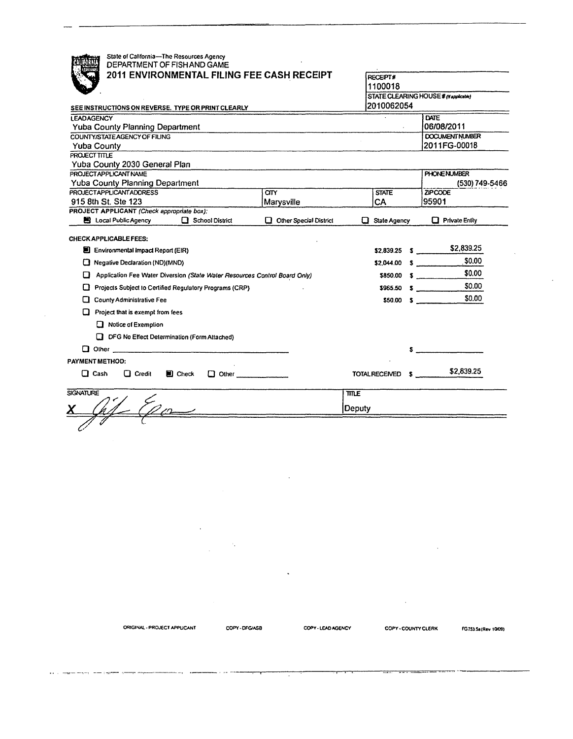| State of California-The Resources Agency<br>DEPARTMENT OF FISH AND GAME                                 |                                       |                                       |            |                            |
|---------------------------------------------------------------------------------------------------------|---------------------------------------|---------------------------------------|------------|----------------------------|
| 2011 ENVIRONMENTAL FILING FEE CASH RECEIPT                                                              | <b>RECEPT#</b>                        |                                       |            |                            |
|                                                                                                         | 1100018                               |                                       |            |                            |
|                                                                                                         | STATE CLEARING HOUSE # (N applicable) |                                       |            |                            |
| SEE INSTRUCTIONS ON REVERSE. TYPE OR PRINT CLEARLY                                                      | 2010062054                            |                                       |            |                            |
| <b>LEADAGENCY</b>                                                                                       |                                       |                                       | DATE       |                            |
| <b>Yuba County Planning Department</b>                                                                  |                                       |                                       | 06/08/2011 |                            |
| COUNTY/STATE AGENCY OF FILING                                                                           |                                       |                                       |            | <b>DOCUMENT NUMBER</b>     |
| <b>Yuba County</b>                                                                                      |                                       |                                       |            | 2011FG-00018               |
| PROJECT TITLE                                                                                           |                                       |                                       |            |                            |
| Yuba County 2030 General Plan<br>PROJECT APPLICANT NAME                                                 |                                       |                                       |            |                            |
| Yuba County Planning Department                                                                         |                                       | <b>PHONE NUMBER</b><br>(530) 749-5466 |            |                            |
| PROJECTAPPLICANTADDRESS                                                                                 | <b>CITY</b>                           | <b>STATE</b>                          |            | <b>ZIPCODE</b>             |
| 915 8th St. Ste 123                                                                                     | Marysville                            | CA                                    |            | 95901                      |
| PROJECT APPLICANT (Check appropriate box):                                                              |                                       |                                       |            |                            |
| <b>B</b> Local Public Agency<br>$\Box$ School District                                                  | Other Special District                | $\Box$ State Agency                   |            | $\Box$ Private Entity      |
| <b>CHECK APPLICABLE FEES:</b><br>El Environmental Impact Report (EIR)<br>Negative Declaration (ND)(MND) |                                       | $$2,839.25$ \$<br>$$2,044.00$ \$      |            | \$2,839.25<br>\$0.00       |
| Application Fee Water Diversion (State Water Resources Control Board Only)<br>⊔                         |                                       | \$850.00                              |            | \$0.00<br>$\sim$ $\sim$    |
| Projects Subject to Certified Regulatory Programs (CRP)                                                 |                                       |                                       |            | \$0.00<br>\$965.50 S       |
| County Administrative Fee                                                                               |                                       |                                       |            | \$0.00<br>$$50.00 \quad $$ |
| Project that is exempt from fees                                                                        |                                       |                                       |            |                            |
| Notice of Exemption                                                                                     |                                       |                                       |            |                            |
| <b>DFG No Effect Determination (Form Attached)</b>                                                      |                                       |                                       |            |                            |
|                                                                                                         |                                       |                                       |            |                            |
| PAYMENT METHOD:                                                                                         |                                       |                                       |            |                            |
| $\Box$ Cash<br>$\Box$ Credit<br>$\blacksquare$ Check<br>$\Box$ Other $\Box$                             |                                       | TOTAL RECEIVED 5                      |            | \$2,839.25                 |
| <b>SIGNATURE</b>                                                                                        |                                       | <b>TITLE</b>                          |            |                            |
|                                                                                                         |                                       | Deputy                                |            |                            |
|                                                                                                         |                                       |                                       |            |                            |
|                                                                                                         |                                       |                                       |            |                            |

 $\bar{z}$ 

Τ

COPY - LEAD AGENCY

 $\ddot{\phantom{a}}$ 

ORIGINAL - PROJECT APPUCANT

-- -

 $\mathbf{r}(\mathbf{r})$  , and we may be a sequent spectral component

 $\frac{1}{2} \frac{1}{2} \frac{1}{2} \frac{1}{2} \frac{1}{2}$ 

 $\gamma_{\star}$ 

COPY-DFG/ASB

 $\mathcal{A}^{\mathcal{A}}$ 

 $\mathcal{L}^{\mathcal{L}}$ 

 $\sim 10^7$ 

FG753.5a (Rev 10/09)

 $\mathcal{L}$ 

COPY - COUNTY CLERK